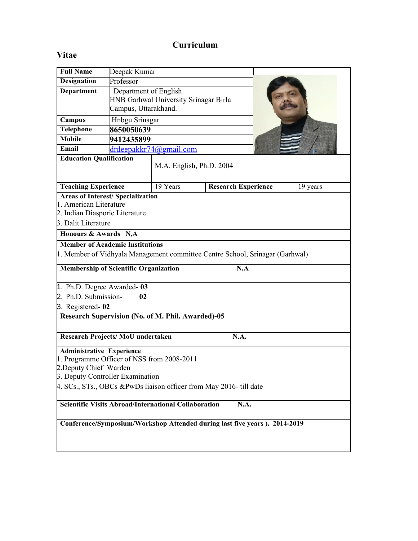## **Curriculum**

# **Vitae**

| <b>Full Name</b>                                                             | Deepak Kumar                          |                          |                            |  |          |
|------------------------------------------------------------------------------|---------------------------------------|--------------------------|----------------------------|--|----------|
| <b>Designation</b>                                                           | Professor                             |                          |                            |  |          |
| <b>Department</b>                                                            | Department of English                 |                          |                            |  |          |
|                                                                              | HNB Garhwal University Srinagar Birla |                          |                            |  |          |
|                                                                              | Campus, Uttarakhand.                  |                          |                            |  |          |
| Campus                                                                       | Hnbgu Srinagar                        |                          |                            |  |          |
| Telephone                                                                    | 8650050639                            |                          |                            |  |          |
| <b>Mobile</b>                                                                | 9412435899                            |                          |                            |  |          |
| Email                                                                        | drdeepakkr74@gmail.com                |                          |                            |  |          |
| <b>Education Qualification</b>                                               |                                       |                          |                            |  |          |
|                                                                              |                                       | M.A. English, Ph.D. 2004 |                            |  |          |
|                                                                              |                                       |                          |                            |  |          |
| <b>Teaching Experience</b>                                                   |                                       | 19 Years                 | <b>Research Experience</b> |  | 19 years |
| <b>Areas of Interest/ Specialization</b>                                     |                                       |                          |                            |  |          |
| 1. American Literature                                                       |                                       |                          |                            |  |          |
| 2. Indian Diasporic Literature                                               |                                       |                          |                            |  |          |
| 3. Dalit Literature                                                          |                                       |                          |                            |  |          |
| Honours & Awards N,A                                                         |                                       |                          |                            |  |          |
| <b>Member of Academic Institutions</b>                                       |                                       |                          |                            |  |          |
| 1. Member of Vidhyala Management committee Centre School, Srinagar (Garhwal) |                                       |                          |                            |  |          |
| N.A<br><b>Membership of Scientific Organization</b>                          |                                       |                          |                            |  |          |
| 1. Ph.D. Degree Awarded-03                                                   |                                       |                          |                            |  |          |
| 2. Ph.D. Submission-<br>02                                                   |                                       |                          |                            |  |          |
| 3. Registered-02                                                             |                                       |                          |                            |  |          |
| Research Supervision (No. of M. Phil. Awarded)-05                            |                                       |                          |                            |  |          |
|                                                                              |                                       |                          |                            |  |          |
| Research Projects/MoU undertaken<br>N.A.                                     |                                       |                          |                            |  |          |
| <b>Administrative Experience</b>                                             |                                       |                          |                            |  |          |
| 1. Programme Officer of NSS from 2008-2011                                   |                                       |                          |                            |  |          |
| 2. Deputy Chief Warden                                                       |                                       |                          |                            |  |          |
| <b>B.</b> Deputy Controller Examination                                      |                                       |                          |                            |  |          |
| 4. SCs., STs., OBCs &PwDs liaison officer from May 2016- till date           |                                       |                          |                            |  |          |
| <b>Scientific Visits Abroad/International Collaboration</b><br>N.A.          |                                       |                          |                            |  |          |
|                                                                              |                                       |                          |                            |  |          |
| Conference/Symposium/Workshop Attended during last five years). 2014-2019    |                                       |                          |                            |  |          |
|                                                                              |                                       |                          |                            |  |          |
|                                                                              |                                       |                          |                            |  |          |
|                                                                              |                                       |                          |                            |  |          |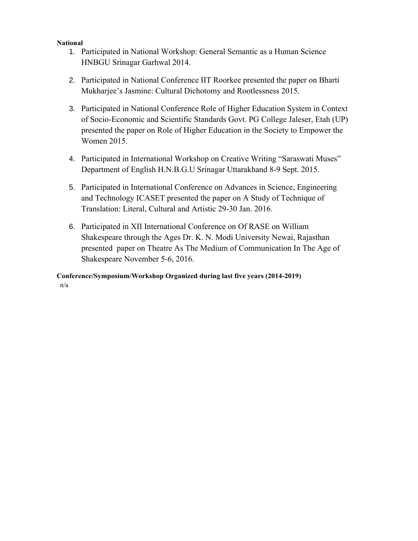#### **National**

- 1. Participated in National Workshop: General Semantic as a Human Science HNBGU Srinagar Garhwal 2014.
- 2. Participated in National Conference IIT Roorkee presented the paper on Bharti Mukharjee's Jasmine: Cultural Dichotomy and Rootlessness 2015.
- 3. Participated in National Conference Role of Higher Education System in Context of Socio-Economic and Scientific Standards Govt. PG College Jaleser, Etah (UP) presented the paper on Role of Higher Education in the Society to Empower the Women 2015.
- 4. Participated in International Workshop on Creative Writing "Saraswati Muses" Department of English H.N.B.G.U Srinagar Uttarakhand 8-9 Sept. 2015.
- 5. Participated in International Conference on Advances in Science, Engineering and Technology ICASET presented the paper on A Study of Technique of Translation: Literal, Cultural and Artistic 29-30 Jan. 2016.
- 6. Participated in XII International Conference on Of RASE on William Shakespeare through the Ages Dr. K. N. Modi University Newai, Rajasthan presented paper on Theatre As The Medium of Communication In The Age of Shakespeare November 5-6, 2016.

**Conference/Symposium/Workshop Organized during last five years (2014-2019)** n/a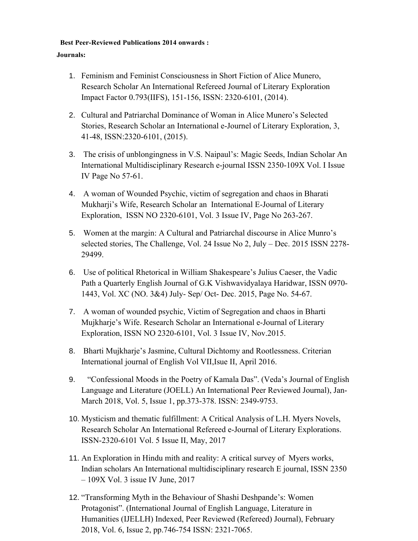#### **Best Peer-Reviewed Publications 2014 onwards :**

### **Journals:**

- 1. Feminism and Feminist Consciousness in Short Fiction of Alice Munero, Research Scholar An International Refereed Journal of Literary Exploration Impact Factor 0.793(IIFS), 151-156, ISSN: 2320-6101, (2014).
- 2. Cultural and Patriarchal Dominance of Woman in Alice Munero's Selected Stories, Research Scholar an International e-Journel of Literary Exploration, 3, 41-48, ISSN:2320-6101, (2015).
- 3. The crisis of unblongingness in V.S. Naipaul's: Magic Seeds, Indian Scholar An International Multidisciplinary Research e-journal ISSN 2350-109X Vol. I Issue IV Page No 57-61.
- 4. A woman of Wounded Psychic, victim of segregation and chaos in Bharati Mukharji's Wife, Research Scholar an International E-Journal of Literary Exploration, ISSN NO 2320-6101, Vol. 3 Issue IV, Page No 263-267.
- 5. Women at the margin: A Cultural and Patriarchal discourse in Alice Munro's selected stories, The Challenge, Vol. 24 Issue No 2, July – Dec. 2015 ISSN 2278- 29499.
- 6. Use of political Rhetorical in William Shakespeare's Julius Caeser, the Vadic Path a Quarterly English Journal of G.K Vishwavidyalaya Haridwar, ISSN 0970- 1443, Vol. XC (NO. 3&4) July- Sep/ Oct- Dec. 2015, Page No. 54-67.
- 7. A woman of wounded psychic, Victim of Segregation and chaos in Bharti Mujkharje's Wife. Research Scholar an International e-Journal of Literary Exploration, ISSN NO 2320-6101, Vol. 3 Issue IV, Nov.2015.
- 8. Bharti Mujkharje's Jasmine, Cultural Dichtomy and Rootlessness. Criterian International journal of English Vol VII,Isue II, April 2016.
- 9. "Confessional Moods in the Poetry of Kamala Das". (Veda's Journal of English Language and Literature (JOELL) An International Peer Reviewed Journal), Jan-March 2018, Vol. 5, Issue 1, pp.373-378. ISSN: 2349-9753.
- 10. Mysticism and thematic fulfillment: A Critical Analysis of L.H. Myers Novels, Research Scholar An International Refereed e-Journal of Literary Explorations. ISSN-2320-6101 Vol. 5 Issue II, May, 2017
- 11. An Exploration in Hindu mith and reality: A critical survey of Myers works, Indian scholars An International multidisciplinary research E journal, ISSN 2350 – 109X Vol. 3 issue IV June, 2017
- 12. "Transforming Myth in the Behaviour of Shashi Deshpande's: Women Protagonist". (International Journal of English Language, Literature in Humanities (IJELLH) Indexed, Peer Reviewed (Refereed) Journal), February 2018, Vol. 6, Issue 2, pp.746-754 ISSN: 2321-7065.